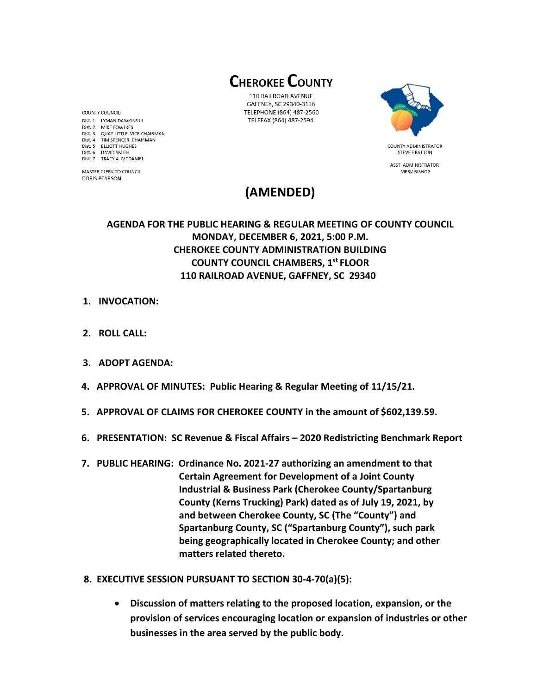**CHEROKEE COUNTY** 

110 RAILROAD AVENUE GAFFNEY, SC 29340-3136 TELEPHONE (864) 487-2560 TELEFAX (864) 487-2594



**STEVE BRATTON** ASST. ADMINISTRATOR **MERV BISHOP** 

# **(AMENDED)**

## **AGENDA FOR THE PUBLIC HEARING & REGULAR MEETING OF COUNTY COUNCIL MONDAY, DECEMBER 6, 2021, 5:00 P.M. CHEROKEE COUNTY ADMINISTRATION BUILDING COUNTY COUNCIL CHAMBERS, 1 st FLOOR 110 RAILROAD AVENUE, GAFFNEY, SC 29340**

- **1. INVOCATION:**
- **2. ROLL CALL:**
- **3. ADOPT AGENDA:**
- **4. APPROVAL OF MINUTES: Public Hearing & Regular Meeting of 11/15/21.**
- **5. APPROVAL OF CLAIMS FOR CHEROKEE COUNTY in the amount of \$602,139.59.**
- **6. PRESENTATION: SC Revenue & Fiscal Affairs – 2020 Redistricting Benchmark Report**
- **7. PUBLIC HEARING: Ordinance No. 2021-27 authorizing an amendment to that Certain Agreement for Development of a Joint County Industrial & Business Park (Cherokee County/Spartanburg County (Kerns Trucking) Park) dated as of July 19, 2021, by and between Cherokee County, SC (The "County") and Spartanburg County, SC ("Spartanburg County"), such park being geographically located in Cherokee County; and other matters related thereto.**
- **8. EXECUTIVE SESSION PURSUANT TO SECTION 30-4-70(a)(5):**
	- **Discussion of matters relating to the proposed location, expansion, or the provision of services encouraging location or expansion of industries or other businesses in the area served by the public body.**

COUNTY COUNCIL: Dist. 1 LYMAN DAWKINS III Dist. 2 MIKE FOWLKES Dist. 3 QUAY LITTLE, VICE-CHAIRMAN Dist. 4 TIM SPENCER, CHAIRMAN Dist. 5 ELLIOTT HUGHES Dist. 6 DAVID SMITH Dist. 7 TRACY A. MCDANIEL

MASTER CLERK TO COUNCIL **DORIS PEARSON**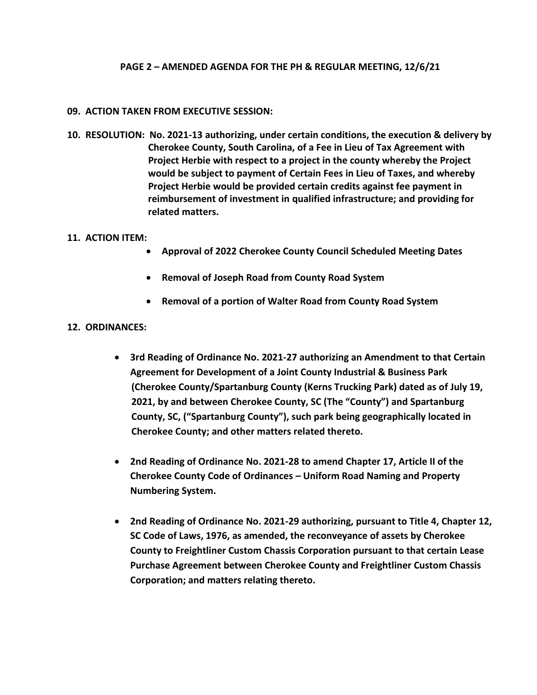### **PAGE 2 – AMENDED AGENDA FOR THE PH & REGULAR MEETING, 12/6/21**

#### **09. ACTION TAKEN FROM EXECUTIVE SESSION:**

**10. RESOLUTION: No. 2021-13 authorizing, under certain conditions, the execution & delivery by Cherokee County, South Carolina, of a Fee in Lieu of Tax Agreement with Project Herbie with respect to a project in the county whereby the Project would be subject to payment of Certain Fees in Lieu of Taxes, and whereby Project Herbie would be provided certain credits against fee payment in reimbursement of investment in qualified infrastructure; and providing for related matters.**

#### **11. ACTION ITEM:**

- **Approval of 2022 Cherokee County Council Scheduled Meeting Dates**
- **Removal of Joseph Road from County Road System**
- **Removal of a portion of Walter Road from County Road System**

### **12. ORDINANCES:**

- **3rd Reading of Ordinance No. 2021-27 authorizing an Amendment to that Certain Agreement for Development of a Joint County Industrial & Business Park (Cherokee County/Spartanburg County (Kerns Trucking Park) dated as of July 19, 2021, by and between Cherokee County, SC (The "County") and Spartanburg County, SC, ("Spartanburg County"), such park being geographically located in Cherokee County; and other matters related thereto.**
- **2nd Reading of Ordinance No. 2021-28 to amend Chapter 17, Article II of the Cherokee County Code of Ordinances – Uniform Road Naming and Property Numbering System.**
- **2nd Reading of Ordinance No. 2021-29 authorizing, pursuant to Title 4, Chapter 12, SC Code of Laws, 1976, as amended, the reconveyance of assets by Cherokee County to Freightliner Custom Chassis Corporation pursuant to that certain Lease Purchase Agreement between Cherokee County and Freightliner Custom Chassis Corporation; and matters relating thereto.**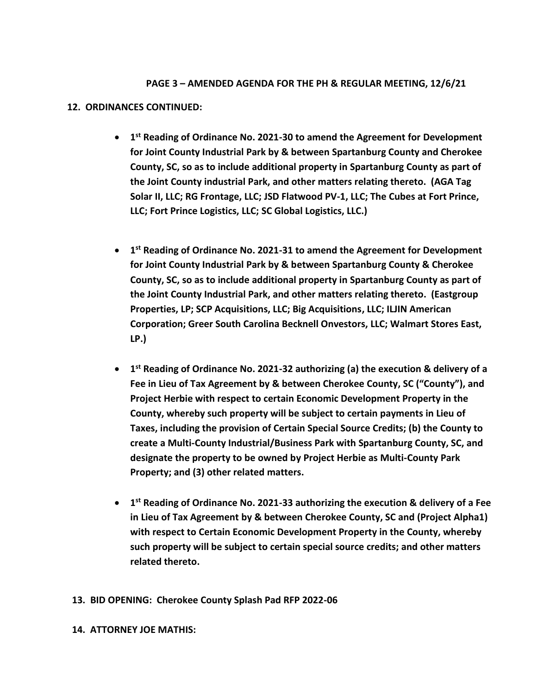## **PAGE 3 – AMENDED AGENDA FOR THE PH & REGULAR MEETING, 12/6/21**

#### **12. ORDINANCES CONTINUED:**

- **1 st Reading of Ordinance No. 2021-30 to amend the Agreement for Development for Joint County Industrial Park by & between Spartanburg County and Cherokee County, SC, so as to include additional property in Spartanburg County as part of the Joint County industrial Park, and other matters relating thereto. (AGA Tag Solar II, LLC; RG Frontage, LLC; JSD Flatwood PV-1, LLC; The Cubes at Fort Prince, LLC; Fort Prince Logistics, LLC; SC Global Logistics, LLC.)**
- **1 st Reading of Ordinance No. 2021-31 to amend the Agreement for Development for Joint County Industrial Park by & between Spartanburg County & Cherokee County, SC, so as to include additional property in Spartanburg County as part of the Joint County Industrial Park, and other matters relating thereto. (Eastgroup Properties, LP; SCP Acquisitions, LLC; Big Acquisitions, LLC; ILJIN American Corporation; Greer South Carolina Becknell Onvestors, LLC; Walmart Stores East, LP.)**
- **1 st Reading of Ordinance No. 2021-32 authorizing (a) the execution & delivery of a Fee in Lieu of Tax Agreement by & between Cherokee County, SC ("County"), and Project Herbie with respect to certain Economic Development Property in the County, whereby such property will be subject to certain payments in Lieu of Taxes, including the provision of Certain Special Source Credits; (b) the County to create a Multi-County Industrial/Business Park with Spartanburg County, SC, and designate the property to be owned by Project Herbie as Multi-County Park Property; and (3) other related matters.**
- **1 st Reading of Ordinance No. 2021-33 authorizing the execution & delivery of a Fee in Lieu of Tax Agreement by & between Cherokee County, SC and (Project Alpha1) with respect to Certain Economic Development Property in the County, whereby such property will be subject to certain special source credits; and other matters related thereto.**

### **13. BID OPENING: Cherokee County Splash Pad RFP 2022-06**

#### **14. ATTORNEY JOE MATHIS:**